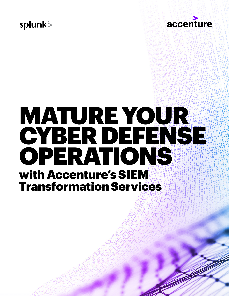## splunk<sup>\$</sup>



# MATURE YOUR CYBER DEFENSE OPERATIONS with Accenture's SIEM Transformation Services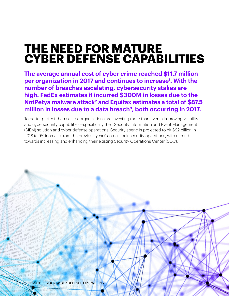## **THE NEED FOR MATURE CYBER DEFENSE CAPABILITIES**

**The average annual cost of cyber crime reached \$11.7 million per organization in 2017 and continues to increase1 . With the number of breaches escalating, cybersecurity stakes are high. FedEx estimates it incurred \$300M in losses due to the NotPetya malware attack<sup>2</sup> and Equifax estimates a total of \$87.5** million in losses due to a data breach<sup>3</sup>, both occurring in 2017.

To better protect themselves, organizations are investing more than ever in improving visibility and cybersecurity capabilities—specifically their Security Information and Event Management (SIEM) solution and cyber defense operations. Security spend is projected to hit \$92 billion in 2018 (a 9% increase from the previous year)4 across their security operations, with a trend towards increasing and enhancing their existing Security Operations Center (SOC).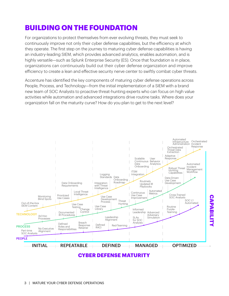### **BUILDING ON THE FOUNDATION**

For organizations to protect themselves from ever evolving threats, they must seek to continuously improve not only their cyber defense capabilities, but the efficiency at which they operate. The first step on the journey to maturing cyber defense capabilities is having an industry-leading SIEM, which provides advanced analytics, enables automation, and is highly versatile—such as Splunk Enterprise Security (ES). Once that foundation is in place, organizations can continuously build out their cyber defense organization and improve efficiency to create a lean and effective security nerve center to swiftly combat cyber threats.

Accenture has identified the key components of maturing cyber defense operations across People, Process, and Technology—from the initial implementation of a SIEM with a brand new team of SOC Analysts to proactive threat-hunting experts who can focus on high value activities while automation and advanced integrations drive routine tasks. Where does your organization fall on the maturity curve? How do you plan to get to the next level?



**CYBER DEFENSE MATURITY**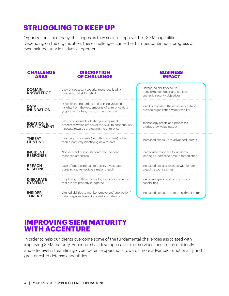### **STRUGGLING TO KEEP UP**

Organizations face many challenges as they seek to improve their SIEM capabilities. Depending on the organization, these challenges can either hamper continuous progress or even halt maturity initiatives altogether.

| <b>CHALLENGE</b><br><b>AREA</b>             | <b>DISCRIPTION</b><br><b>OF CHALLENGE</b>                                                                                                          | <b>BUSINESS</b><br><b>IMPACT</b>                                                              |
|---------------------------------------------|----------------------------------------------------------------------------------------------------------------------------------------------------|-----------------------------------------------------------------------------------------------|
| <b>DOMAIN</b><br><b>KNOWLEDGE</b>           | Lack of necessary security resources leading<br>to a technical skills deficit                                                                      | Hampered ability execute<br>transformation goals and achieve<br>strategic security objectives |
| <b>DATA</b><br><b>INUNDATION</b>            | Difficulty in onboarding and gaining valuable<br>insights from the vast amounts of enterprise data<br>(e.g. infrastructure, cloud, loT, endpoints) | Inability to collect the necessary data to<br>provide organization-wide visability            |
| <b>IDEATION &amp;</b><br><b>DEVELOPMENT</b> | Lack of sustainable ideation/development<br>processes which empower the SOC to continuously<br>innovate towards protecting the enterprise          | Technology assets and processes<br>produce low value output                                   |
| <b>THREAT</b><br><b>HUNTING</b>             | Reacting to incidents (i.e putting out fires) rather<br>than proactively identifying new threats                                                   | Increased exposure to advanced threats                                                        |
| <b>INCIDENT</b><br><b>RESPONSE</b>          | Non-existent or non-standardized incident<br>response processes                                                                                    | Inadequate response to incidents,<br>leading to increased time to remediation                 |
| <b>BREACH</b><br><b>RESPONSE</b>            | Lack of deep expertise to quickly investigate,<br>contain, and remediate a major breach                                                            | Increased costs associated with longer<br>breach response times                               |
| <b>DISPARATE</b><br><b>SYSTEMS</b>          | Employing multiple technologies as point solutions<br>that are not properly integrated                                                             | Inefficient spend and lack of holistic<br>capabilities                                        |
| <b>INSIDER</b><br>THRFATS                   | Limited abilities to monitor employees' application/<br>data usage and detect anomalous bahavior                                                   | Increased exposure to internal threat actors                                                  |

#### **IMPROVING SIEM MATURITY WITH ACCENTURE**

In order to help our clients overcome some of the fundamental challenges associated with improving SIEM maturity, Accenture has developed a suite of services focused on efficiently and effectively streamlining cyber defense operations towards more advanced functionality and greater cyber defense capabilities.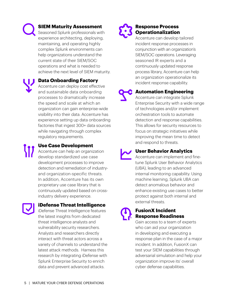#### **SIEM Maturity Assessment**

Seasoned Splunk professionals with experience architecting, deploying, maintaining, and operating highly complex Splunk environments can help organizations understand the current state of their SIEM/SOC operations and what is needed to achieve the next level of SIEM maturity.

#### **Data Onboarding Factory**

Accenture can deploy cost effective and sustainable data onboarding processes to dramatically increase the speed and scale at which an organization can gain enterprise-wide visibility into their data. Accenture has experience setting up data onboarding factories that ingest 300+ data sources while navigating through complex regulatory requirements.

**Use Case Development**

Accenture can help an organization develop standardized use case development processes to improve detection and remediation of industryand organization-specific threats. In addition, Accenture has its own proprietary use case library that is continuously updated based on crossindustry delivery experience.

#### **iDefense Threat Intelligence**

iDefense Threat Intelligence features the latest insights from dedicated threat intelligence analysts and vulnerability security researchers. Analysts and researchers directly interact with threat actors across a variety of channels to understand the latest attack methods. Harness this research by integrating iDefense with Splunk Enterprise Security to enrich data and prevent advanced attacks.

#### **Response Process Operationalization**

Accenture can develop tailored incident response processes in conjunction with an organization's SIEM/SOC operations. Leveraging seasoned IR experts and a continuously updated response process library, Accenture can help an organization operationalize its incident response capability.

#### **Automation Engineering**

Accenture can integrate Splunk Enterprise Security with a wide range of technologies and/or implement orchestration tools to automate detection and response capabilities. This allows for security resources to focus on strategic initiatives while improving the mean time to detect and respond to threats.

#### **User Behavior Analytics**

Accenture can implement and finetune Splunk User Behavior Analytics (UBA), leading to an advanced internal monitoring capability. Using machine learning, Splunk UBA can detect anomalous behavior and enhance existing use cases to better protect against both internal and external threats.

#### **FusionX Incident Response Readiness**

Gain access to a team of experts who can aid your organization in developing and executing a response plan in the case of a major incident. In addition, FusionX can test your SIEM capabilities through adversarial simulation and help your organization improve its' overall cyber defense capabilities.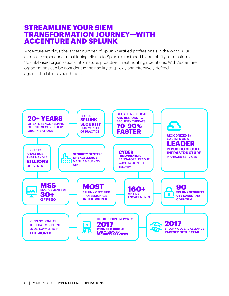#### **STREAMLINE YOUR SIEM TRANSFORMATION JOURNEY—WITH ACCENTURE AND SPLUNK**

Accenture employs the largest number of Splunk-certified professionals in the world. Our extensive experience transitioning clients to Splunk is matched by our ability to transform Splunk-based organizations into mature, proactive threat-hunting operations. With Accenture, organizations can be confident in their ability to quickly and effectively defend against the latest cyber threats.

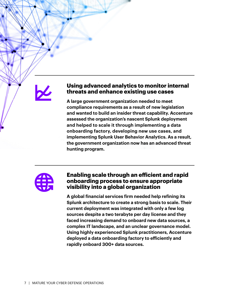#### **Using advanced analytics to monitor internal threats and enhance existing use cases**

**A large government organization needed to meet compliance requirements as a result of new legislation and wanted to build an insider threat capability. Accenture assessed the organization's nascent Splunk deployment and helped to scale it through implementing a data onboarding factory, developing new use cases, and implementing Splunk User Behavior Analytics. As a result, the government organization now has an advanced threat hunting program.**



#### **Enabling scale through an efficient and rapid onboarding process to ensure appropriate visibility into a global organization**

**A global financial services firm needed help refining its Splunk architecture to create a strong basis to scale. Their current deployment was integrated with only a few log sources despite a two terabyte per day license and they faced increasing demand to onboard new data sources, a complex IT landscape, and an unclear governance model. Using highly experienced Splunk practitioners, Accenture deployed a data onboarding factory to efficiently and rapidly onboard 300+ data sources.**